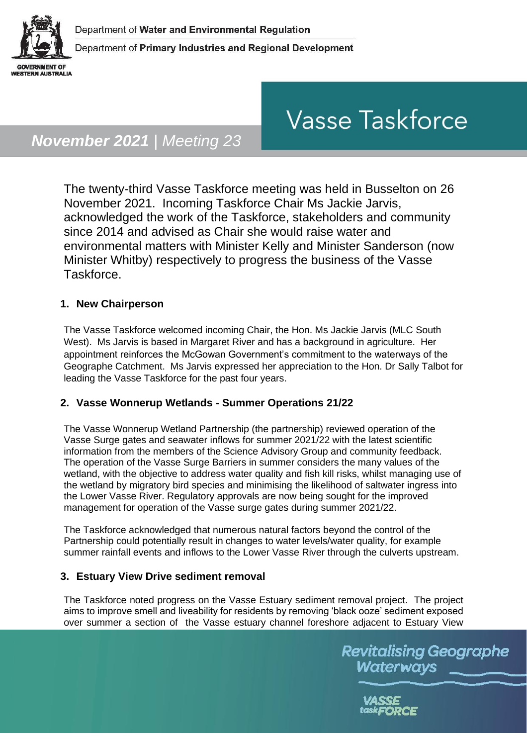

# **Vasse Taskforce**

# *November 2021 | Meeting 23*

The twenty-third Vasse Taskforce meeting was held in Busselton on 26 November 2021. Incoming Taskforce Chair Ms Jackie Jarvis, acknowledged the work of the Taskforce, stakeholders and community since 2014 and advised as Chair she would raise water and environmental matters with Minister Kelly and Minister Sanderson (now Minister Whitby) respectively to progress the business of the Vasse Taskforce.

## **1. New Chairperson**

The Vasse Taskforce welcomed incoming Chair, the Hon. Ms Jackie Jarvis (MLC South West). Ms Jarvis is based in Margaret River and has a background in agriculture. Her appointment reinforces the McGowan Government's commitment to the waterways of the Geographe Catchment. Ms Jarvis expressed her appreciation to the Hon. Dr Sally Talbot for leading the Vasse Taskforce for the past four years.

### **2. Vasse Wonnerup Wetlands - Summer Operations 21/22**

The Vasse Wonnerup Wetland Partnership (the partnership) reviewed operation of the Vasse Surge gates and seawater inflows for summer 2021/22 with the latest scientific information from the members of the Science Advisory Group and community feedback. The operation of the Vasse Surge Barriers in summer considers the many values of the wetland, with the objective to address water quality and fish kill risks, whilst managing use of the wetland by migratory bird species and minimising the likelihood of saltwater ingress into the Lower Vasse River. Regulatory approvals are now being sought for the improved management for operation of the Vasse surge gates during summer 2021/22.

The Taskforce acknowledged that numerous natural factors beyond the control of the Partnership could potentially result in changes to water levels/water quality, for example summer rainfall events and inflows to the Lower Vasse River through the culverts upstream.

### **3. Estuary View Drive sediment removal**

The Taskforce noted progress on the Vasse Estuary sediment removal project. The project aims to improve smell and liveability for residents by removing 'black ooze' sediment exposed over summer a section of the Vasse estuary channel foreshore adjacent to Estuary View

> **Revitalising Geographe** Waterways

> > VASSE task**FORCE**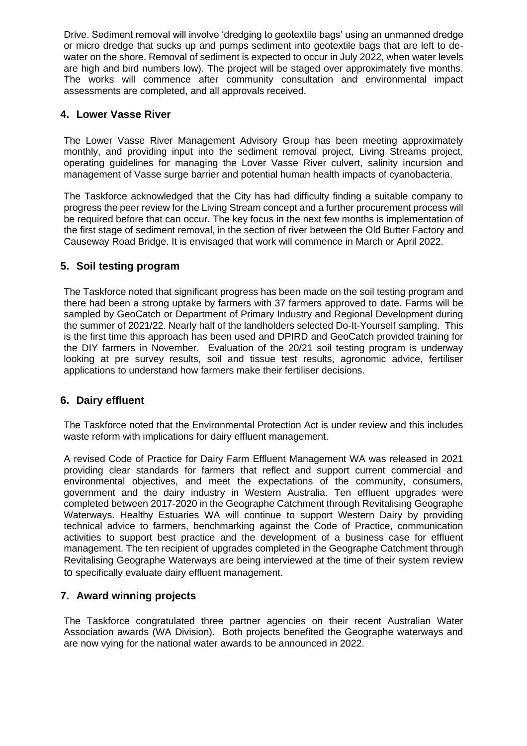Drive. Sediment removal will involve 'dredging to geotextile bags' using an unmanned dredge or micro dredge that sucks up and pumps sediment into geotextile bags that are left to dewater on the shore. Removal of sediment is expected to occur in July 2022, when water levels are high and bird numbers low). The project will be staged over approximately five months. The works will commence after community consultation and environmental impact assessments are completed, and all approvals received.

#### **4. Lower Vasse River**

The Lower Vasse River Management Advisory Group has been meeting approximately monthly, and providing input into the sediment removal project, Living Streams project, operating guidelines for managing the Lover Vasse River culvert, salinity incursion and management of Vasse surge barrier and potential human health impacts of cyanobacteria.

The Taskforce acknowledged that the City has had difficulty finding a suitable company to progress the peer review for the Living Stream concept and a further procurement process will be required before that can occur. The key focus in the next few months is implementation of the first stage of sediment removal, in the section of river between the Old Butter Factory and Causeway Road Bridge. It is envisaged that work will commence in March or April 2022.

#### **5. Soil testing program**

The Taskforce noted that significant progress has been made on the soil testing program and there had been a strong uptake by farmers with 37 farmers approved to date. Farms will be sampled by GeoCatch or Department of Primary Industry and Regional Development during the summer of 2021/22. Nearly half of the landholders selected Do-It-Yourself sampling. This is the first time this approach has been used and DPIRD and GeoCatch provided training for the DIY farmers in November. Evaluation of the 20/21 soil testing program is underway looking at pre survey results, soil and tissue test results, agronomic advice, fertiliser applications to understand how farmers make their fertiliser decisions.

### **6. Dairy effluent**

The Taskforce noted that the Environmental Protection Act is under review and this includes waste reform with implications for dairy effluent management.

A revised Code of Practice for Dairy Farm Effluent Management WA was released in 2021 providing clear standards for farmers that reflect and support current commercial and environmental objectives, and meet the expectations of the community, consumers, government and the dairy industry in Western Australia. Ten effluent upgrades were completed between 2017-2020 in the Geographe Catchment through Revitalising Geographe Waterways. Healthy Estuaries WA will continue to support Western Dairy by providing technical advice to farmers, benchmarking against the Code of Practice, communication activities to support best practice and the development of a business case for effluent management. The ten recipient of upgrades completed in the Geographe Catchment through Revitalising Geographe Waterways are being interviewed at the time of their system review to specifically evaluate dairy effluent management.

### **7. Award winning projects**

The Taskforce congratulated three partner agencies on their recent Australian Water Association awards (WA Division). Both projects benefited the Geographe waterways and are now vying for the national water awards to be announced in 2022.